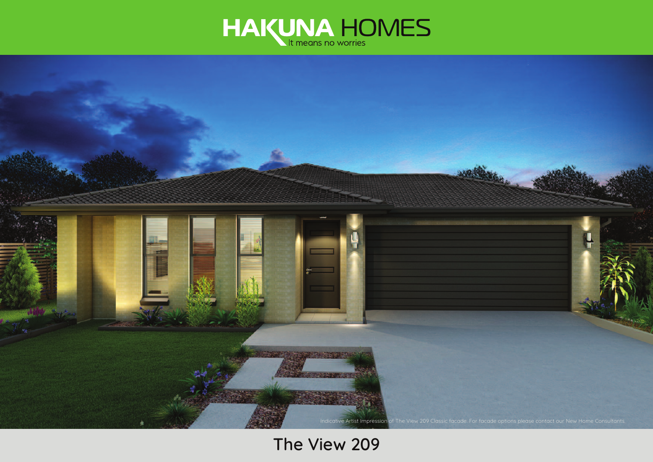



**The View 209**